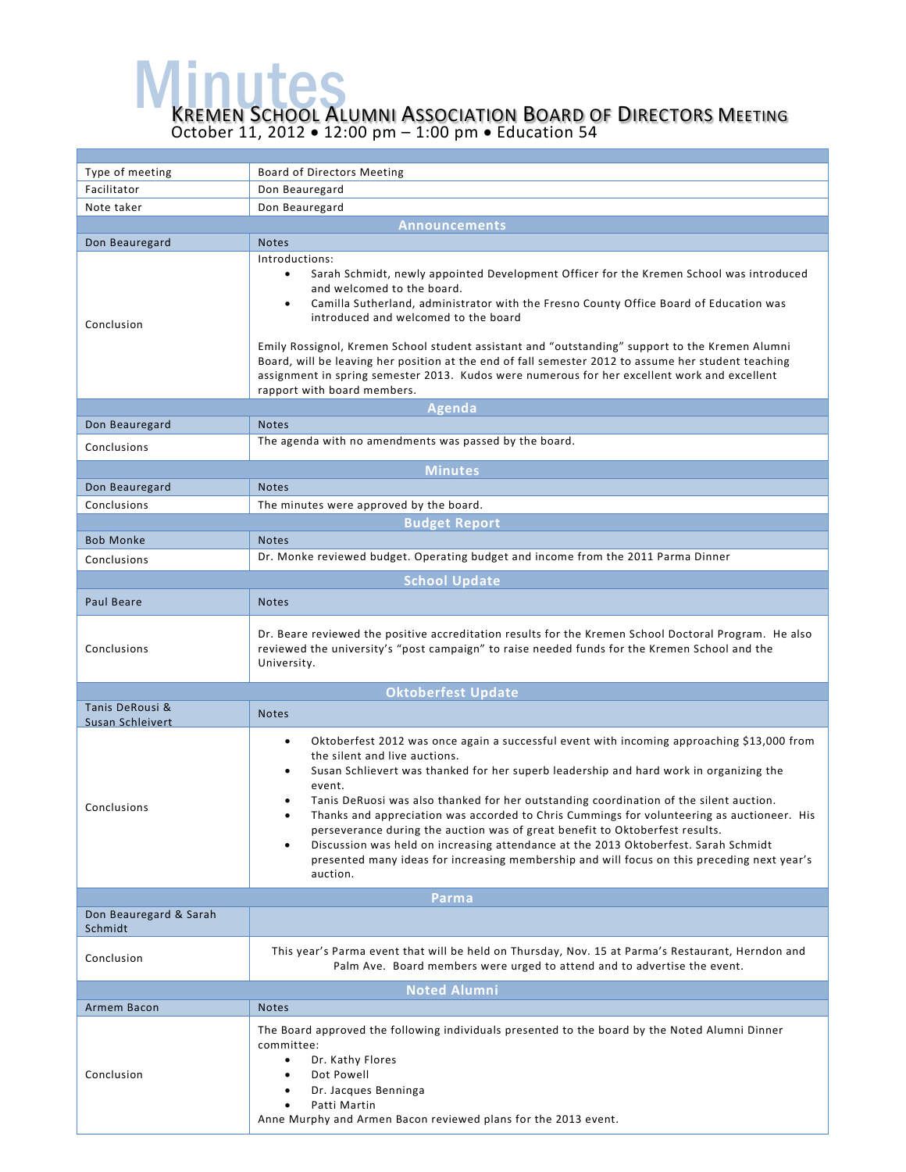Minutes **INUTES**<br>REMEN SCHOOL ALUMNI ASSOCIATION BOARD OF DIRECTORS MEETING

October 11, 2012 • 12:00 pm – 1:00 pm • Education 54

| Type of meeting                   | Board of Directors Meeting                                                                                                                                                                                                                                                                                                                                                                                                                                                                                                                                                                                                                                                                                          |  |
|-----------------------------------|---------------------------------------------------------------------------------------------------------------------------------------------------------------------------------------------------------------------------------------------------------------------------------------------------------------------------------------------------------------------------------------------------------------------------------------------------------------------------------------------------------------------------------------------------------------------------------------------------------------------------------------------------------------------------------------------------------------------|--|
| Facilitator                       | Don Beauregard                                                                                                                                                                                                                                                                                                                                                                                                                                                                                                                                                                                                                                                                                                      |  |
| Note taker                        | Don Beauregard                                                                                                                                                                                                                                                                                                                                                                                                                                                                                                                                                                                                                                                                                                      |  |
| <b>Announcements</b>              |                                                                                                                                                                                                                                                                                                                                                                                                                                                                                                                                                                                                                                                                                                                     |  |
| Don Beauregard                    | <b>Notes</b>                                                                                                                                                                                                                                                                                                                                                                                                                                                                                                                                                                                                                                                                                                        |  |
| Conclusion                        | Introductions:<br>Sarah Schmidt, newly appointed Development Officer for the Kremen School was introduced<br>and welcomed to the board.<br>Camilla Sutherland, administrator with the Fresno County Office Board of Education was<br>$\bullet$<br>introduced and welcomed to the board<br>Emily Rossignol, Kremen School student assistant and "outstanding" support to the Kremen Alumni<br>Board, will be leaving her position at the end of fall semester 2012 to assume her student teaching<br>assignment in spring semester 2013. Kudos were numerous for her excellent work and excellent<br>rapport with board members.                                                                                     |  |
|                                   | Agenda                                                                                                                                                                                                                                                                                                                                                                                                                                                                                                                                                                                                                                                                                                              |  |
| Don Beauregard                    | <b>Notes</b>                                                                                                                                                                                                                                                                                                                                                                                                                                                                                                                                                                                                                                                                                                        |  |
| Conclusions                       | The agenda with no amendments was passed by the board.                                                                                                                                                                                                                                                                                                                                                                                                                                                                                                                                                                                                                                                              |  |
| <b>Minutes</b>                    |                                                                                                                                                                                                                                                                                                                                                                                                                                                                                                                                                                                                                                                                                                                     |  |
| Don Beauregard                    | <b>Notes</b>                                                                                                                                                                                                                                                                                                                                                                                                                                                                                                                                                                                                                                                                                                        |  |
| Conclusions                       | The minutes were approved by the board.                                                                                                                                                                                                                                                                                                                                                                                                                                                                                                                                                                                                                                                                             |  |
| <b>Budget Report</b>              |                                                                                                                                                                                                                                                                                                                                                                                                                                                                                                                                                                                                                                                                                                                     |  |
| <b>Bob Monke</b>                  | <b>Notes</b>                                                                                                                                                                                                                                                                                                                                                                                                                                                                                                                                                                                                                                                                                                        |  |
| Conclusions                       | Dr. Monke reviewed budget. Operating budget and income from the 2011 Parma Dinner                                                                                                                                                                                                                                                                                                                                                                                                                                                                                                                                                                                                                                   |  |
|                                   | <b>School Update</b>                                                                                                                                                                                                                                                                                                                                                                                                                                                                                                                                                                                                                                                                                                |  |
| Paul Beare                        | <b>Notes</b>                                                                                                                                                                                                                                                                                                                                                                                                                                                                                                                                                                                                                                                                                                        |  |
|                                   |                                                                                                                                                                                                                                                                                                                                                                                                                                                                                                                                                                                                                                                                                                                     |  |
| Conclusions                       | Dr. Beare reviewed the positive accreditation results for the Kremen School Doctoral Program. He also<br>reviewed the university's "post campaign" to raise needed funds for the Kremen School and the<br>University.                                                                                                                                                                                                                                                                                                                                                                                                                                                                                               |  |
| <b>Oktoberfest Update</b>         |                                                                                                                                                                                                                                                                                                                                                                                                                                                                                                                                                                                                                                                                                                                     |  |
| Tanis DeRousi &                   | <b>Notes</b>                                                                                                                                                                                                                                                                                                                                                                                                                                                                                                                                                                                                                                                                                                        |  |
| Susan Schleivert<br>Conclusions   | Oktoberfest 2012 was once again a successful event with incoming approaching \$13,000 from<br>٠<br>the silent and live auctions.<br>Susan Schlievert was thanked for her superb leadership and hard work in organizing the<br>event.<br>Tanis DeRuosi was also thanked for her outstanding coordination of the silent auction.<br>Thanks and appreciation was accorded to Chris Cummings for volunteering as auctioneer. His<br>perseverance during the auction was of great benefit to Oktoberfest results.<br>Discussion was held on increasing attendance at the 2013 Oktoberfest. Sarah Schmidt<br>٠<br>presented many ideas for increasing membership and will focus on this preceding next year's<br>auction. |  |
| Parma                             |                                                                                                                                                                                                                                                                                                                                                                                                                                                                                                                                                                                                                                                                                                                     |  |
| Don Beauregard & Sarah<br>Schmidt |                                                                                                                                                                                                                                                                                                                                                                                                                                                                                                                                                                                                                                                                                                                     |  |
| Conclusion                        | This year's Parma event that will be held on Thursday, Nov. 15 at Parma's Restaurant, Herndon and<br>Palm Ave. Board members were urged to attend and to advertise the event.                                                                                                                                                                                                                                                                                                                                                                                                                                                                                                                                       |  |
| <b>Noted Alumni</b>               |                                                                                                                                                                                                                                                                                                                                                                                                                                                                                                                                                                                                                                                                                                                     |  |
| Armem Bacon                       | <b>Notes</b>                                                                                                                                                                                                                                                                                                                                                                                                                                                                                                                                                                                                                                                                                                        |  |
| Conclusion                        | The Board approved the following individuals presented to the board by the Noted Alumni Dinner<br>committee:<br>Dr. Kathy Flores<br>Dot Powell<br>Dr. Jacques Benninga<br>Patti Martin<br>Anne Murphy and Armen Bacon reviewed plans for the 2013 event.                                                                                                                                                                                                                                                                                                                                                                                                                                                            |  |